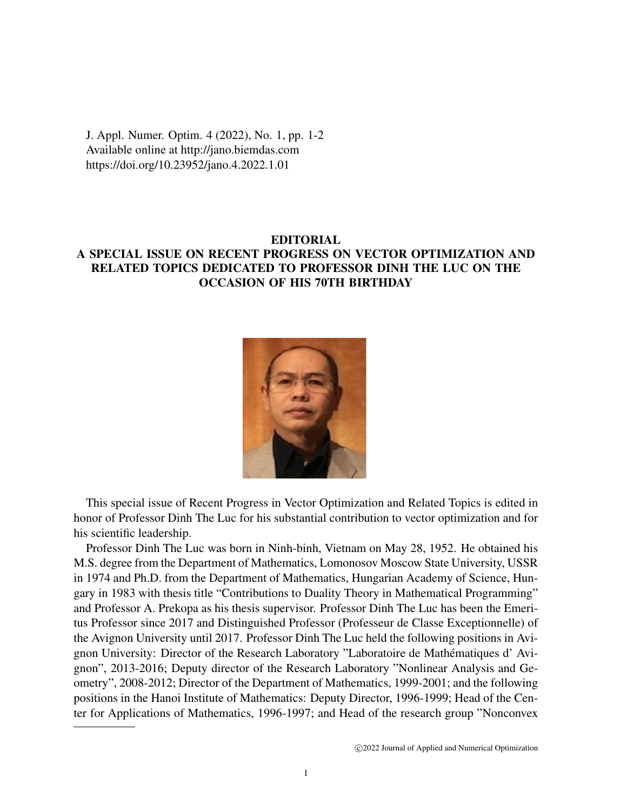J. Appl. Numer. Optim. 4 (2022), No. 1, pp. 1-2 Available online at http://jano.biemdas.com https://doi.org/10.23952/jano.4.2022.1.01

## EDITORIAL A SPECIAL ISSUE ON RECENT PROGRESS ON VECTOR OPTIMIZATION AND RELATED TOPICS DEDICATED TO PROFESSOR DINH THE LUC ON THE OCCASION OF HIS 70TH BIRTHDAY



This special issue of Recent Progress in Vector Optimization and Related Topics is edited in honor of Professor Dinh The Luc for his substantial contribution to vector optimization and for his scientific leadership.

Professor Dinh The Luc was born in Ninh-binh, Vietnam on May 28, 1952. He obtained his M.S. degree from the Department of Mathematics, Lomonosov Moscow State University, USSR in 1974 and Ph.D. from the Department of Mathematics, Hungarian Academy of Science, Hungary in 1983 with thesis title "Contributions to Duality Theory in Mathematical Programming" and Professor A. Prekopa as his thesis supervisor. Professor Dinh The Luc has been the Emeritus Professor since 2017 and Distinguished Professor (Professeur de Classe Exceptionnelle) of the Avignon University until 2017. Professor Dinh The Luc held the following positions in Avignon University: Director of the Research Laboratory "Laboratoire de Mathematiques d' Avi- ´ gnon", 2013-2016; Deputy director of the Research Laboratory "Nonlinear Analysis and Geometry", 2008-2012; Director of the Department of Mathematics, 1999-2001; and the following positions in the Hanoi Institute of Mathematics: Deputy Director, 1996-1999; Head of the Center for Applications of Mathematics, 1996-1997; and Head of the research group "Nonconvex